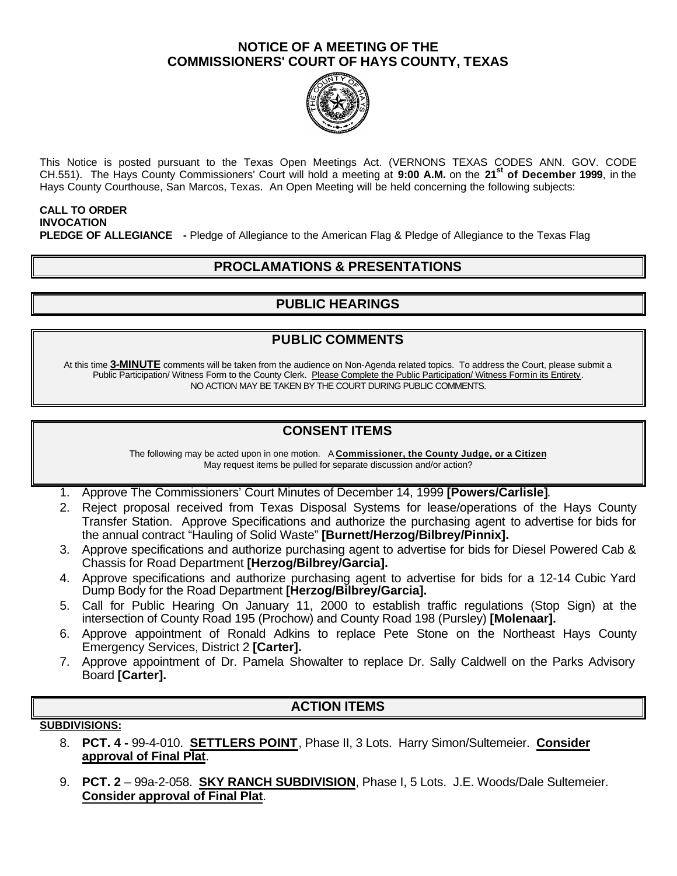#### **NOTICE OF A MEETING OF THE COMMISSIONERS' COURT OF HAYS COUNTY, TEXAS**



This Notice is posted pursuant to the Texas Open Meetings Act. (VERNONS TEXAS CODES ANN. GOV. CODE CH.551). The Hays County Commissioners' Court will hold a meeting at **9:00 A.M.** on the **21st of December 1999**, in the Hays County Courthouse, San Marcos, Texas. An Open Meeting will be held concerning the following subjects:

#### **CALL TO ORDER INVOCATION PLEDGE OF ALLEGIANCE -** Pledge of Allegiance to the American Flag & Pledge of Allegiance to the Texas Flag

## **PROCLAMATIONS & PRESENTATIONS**

# **PUBLIC HEARINGS**

## **PUBLIC COMMENTS**

At this time **3-MINUTE** comments will be taken from the audience on Non-Agenda related topics. To address the Court, please submit a Public Participation/ Witness Form to the County Clerk. Please Complete the Public Participation/ Witness Form in its Entirety. NO ACTION MAY BE TAKEN BY THE COURT DURING PUBLIC COMMENTS.

# **CONSENT ITEMS**

The following may be acted upon in one motion. A **Commissioner, the County Judge, or a Citizen** May request items be pulled for separate discussion and/or action?

1. Approve The Commissioners' Court Minutes of December 14, 1999 **[Powers/Carlisle]**.

- 2. Reject proposal received from Texas Disposal Systems for lease/operations of the Hays County Transfer Station. Approve Specifications and authorize the purchasing agent to advertise for bids for the annual contract "Hauling of Solid Waste" **[Burnett/Herzog/Bilbrey/Pinnix].**
- 3. Approve specifications and authorize purchasing agent to advertise for bids for Diesel Powered Cab & Chassis for Road Department **[Herzog/Bilbrey/Garcia].**
- 4. Approve specifications and authorize purchasing agent to advertise for bids for a 12-14 Cubic Yard Dump Body for the Road Department **[Herzog/Bilbrey/Garcia].**
- 5. Call for Public Hearing On January 11, 2000 to establish traffic regulations (Stop Sign) at the intersection of County Road 195 (Prochow) and County Road 198 (Pursley) **[Molenaar].**
- 6. Approve appointment of Ronald Adkins to replace Pete Stone on the Northeast Hays County Emergency Services, District 2 **[Carter].**
- 7. Approve appointment of Dr. Pamela Showalter to replace Dr. Sally Caldwell on the Parks Advisory Board **[Carter].**

### **ACTION ITEMS**

#### **SUBDIVISIONS:**

- 8. **PCT. 4 -** 99-4-010. **SETTLERS POINT**, Phase II, 3 Lots. Harry Simon/Sultemeier. **Consider approval of Final Plat**.
- 9. **PCT. 2** 99a-2-058. **SKY RANCH SUBDIVISION**, Phase I, 5 Lots. J.E. Woods/Dale Sultemeier. **Consider approval of Final Plat**.